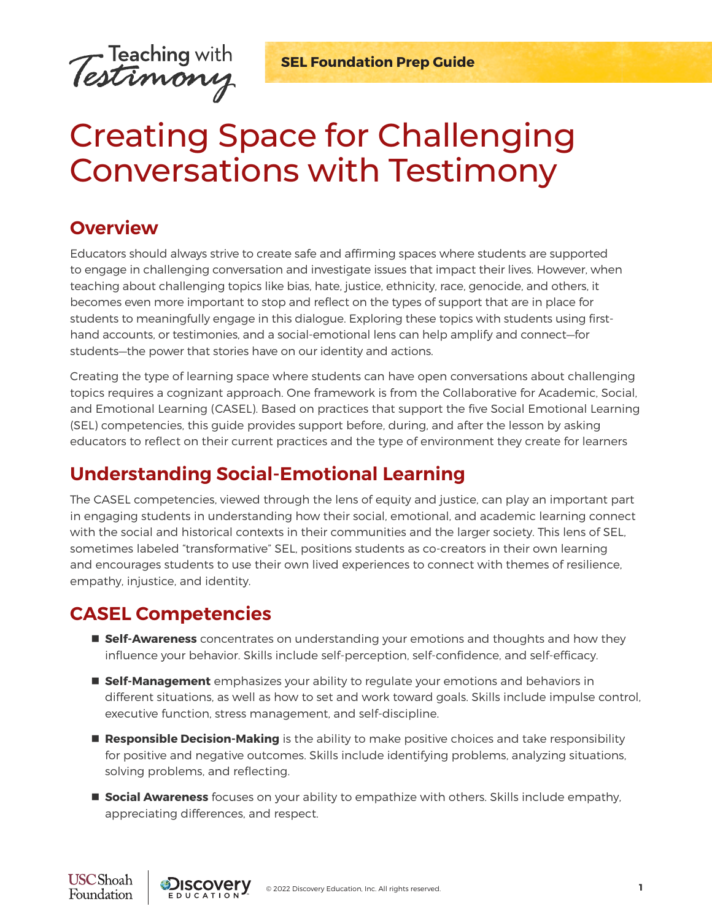

**SEL Foundation Prep Guide** 

# Creating Space for Challenging Conversations with Testimony

#### **Overview**

Educators should always strive to create safe and affirming spaces where students are supported to engage in challenging conversation and investigate issues that impact their lives. However, when teaching about challenging topics like bias, hate, justice, ethnicity, race, genocide, and others, it becomes even more important to stop and reflect on the types of support that are in place for students to meaningfully engage in this dialogue. Exploring these topics with students using firsthand accounts, or testimonies, and a social-emotional lens can help amplify and connect—for students—the power that stories have on our identity and actions.

Creating the type of learning space where students can have open conversations about challenging topics requires a cognizant approach. One framework is from the Collaborative for Academic, Social, and Emotional Learning (CASEL). Based on practices that support the five Social Emotional Learning (SEL) competencies, this guide provides support before, during, and after the lesson by asking educators to reflect on their current practices and the type of environment they create for learners

# **Understanding Social-Emotional Learning**

The CASEL competencies, viewed through the lens of equity and justice, can play an important part in engaging students in understanding how their social, emotional, and academic learning connect with the social and historical contexts in their communities and the larger society. This lens of SEL, sometimes labeled "transformative" SEL, positions students as co-creators in their own learning and encourages students to use their own lived experiences to connect with themes of resilience, empathy, injustice, and identity.

# **CASEL Competencies**

- **Self-Awareness** concentrates on understanding your emotions and thoughts and how they influence your behavior. Skills include self-perception, self-confidence, and self-efficacy.
- **Self-Management** emphasizes your ability to regulate your emotions and behaviors in different situations, as well as how to set and work toward goals. Skills include impulse control, executive function, stress management, and self-discipline.
- **Responsible Decision-Making** is the ability to make positive choices and take responsibility for positive and negative outcomes. Skills include identifying problems, analyzing situations, solving problems, and reflecting.
- **Social Awareness** focuses on your ability to empathize with others. Skills include empathy, appreciating differences, and respect.

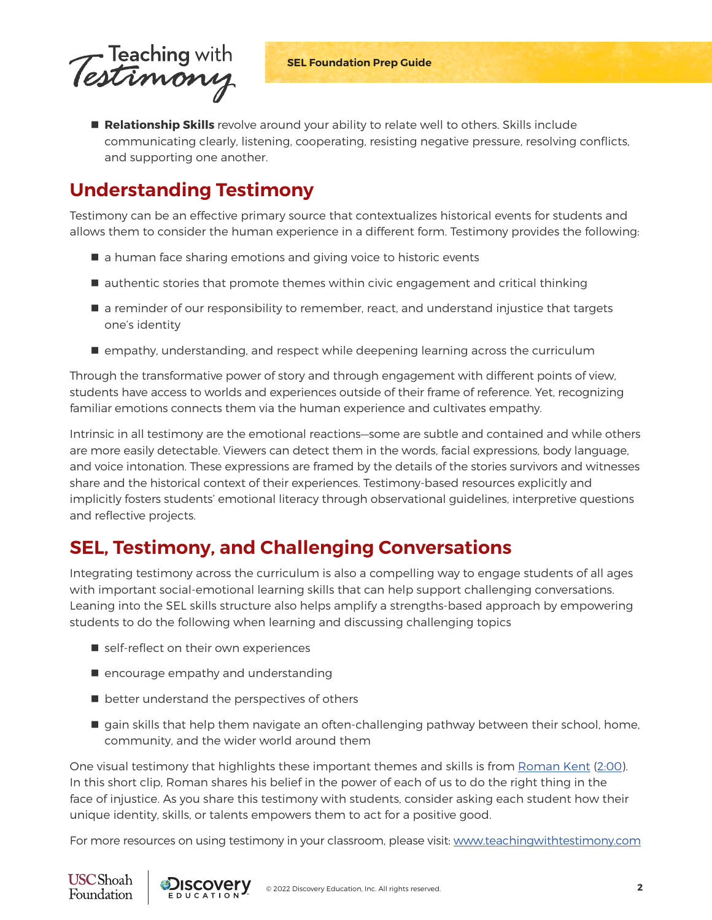

 **Relationship Skills** revolve around your ability to relate well to others. Skills include communicating clearly, listening, cooperating, resisting negative pressure, resolving conflicts, and supporting one another.

# **Understanding Testimony**

Testimony can be an effective primary source that contextualizes historical events for students and allows them to consider the human experience in a different form. Testimony provides the following:

- a human face sharing emotions and giving voice to historic events
- $\blacksquare$  authentic stories that promote themes within civic engagement and critical thinking
- **E** a reminder of our responsibility to remember, react, and understand injustice that targets one's identity
- **E** empathy, understanding, and respect while deepening learning across the curriculum

Through the transformative power of story and through engagement with different points of view, students have access to worlds and experiences outside of their frame of reference. Yet, recognizing familiar emotions connects them via the human experience and cultivates empathy.

Intrinsic in all testimony are the emotional reactions—some are subtle and contained and while others are more easily detectable. Viewers can detect them in the words, facial expressions, body language, and voice intonation. These expressions are framed by the details of the stories survivors and witnesses share and the historical context of their experiences. Testimony-based resources explicitly and implicitly fosters students' emotional literacy through observational guidelines, interpretive questions and reflective projects.

# **SEL, Testimony, and Challenging Conversations**

Integrating testimony across the curriculum is also a compelling way to engage students of all ages with important social-emotional learning skills that can help support challenging conversations. Leaning into the SEL skills structure also helps amplify a strengths-based approach by empowering students to do the following when learning and discussing challenging topics

- self-reflect on their own experiences
- $\blacksquare$  encourage empathy and understanding
- $\blacksquare$  better understand the perspectives of others
- **q** gain skills that help them navigate an often-challenging pathway between their school, home, community, and the wider world around them

One visual testimony that highlights these important themes and skills is from [Roman Kent](https://iwitness.usc.edu/watch?searching=true&theme=52&clip=1373&entry=0_q2lqe9v6&search=roman%20kent) ([2:00](https://iwitness.usc.edu/watch?searching=true&theme=52&clip=1373&entry=0_q2lqe9v6&search=roman%20kent)). In this short clip, Roman shares his belief in the power of each of us to do the right thing in the face of injustice. As you share this testimony with students, consider asking each student how their unique identity, skills, or talents empowers them to act for a positive good.

For more resources on using testimony in your classroom, please visit: [www.teachingwithtestimony.com](http://www.teachingwithtestimony.com)